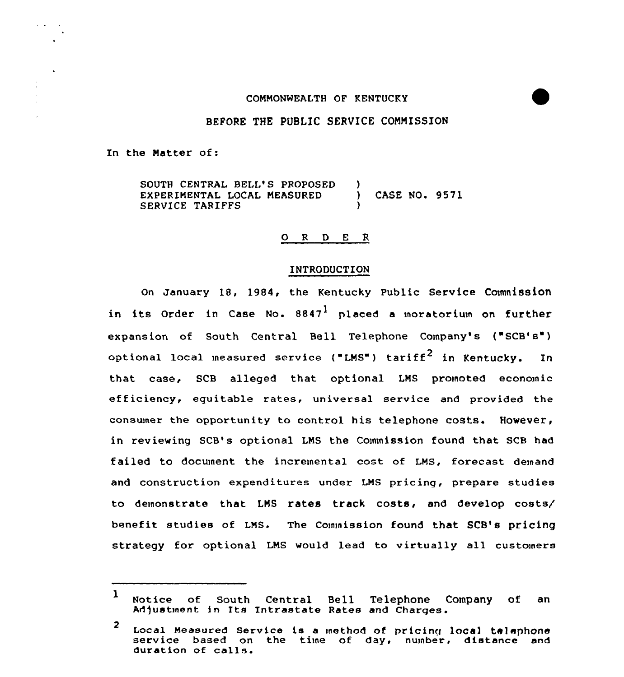## COMMONWEALTH OF KENTUCKY

# BEFORE THE PUBLIC SERVICE COMMISSION

In the Natter of:

SOUTH CENTRAL BELL'S PROPOSED )<br>EXPERIMENTAL LOCAL MEASURED ) EXPERIMENTAL LOCAL MEASURED ) CASE NO. 9571 SERVICE TARIFFS

# 0 <sup>R</sup> <sup>D</sup> E R

## INTRODUCTION

On January 18, 1984, the Kentucky Public Service Commission in its Order in Case No.  $8847<sup>1</sup>$  placed a moratorium on further expansion of South Central Bell Telephone Company's ("SCB's") optional local measured service ("LMS") tariff<sup>2</sup> in Kentucky. In that case, SCB alleged that optional LNS proinoted economic efficiency, equitable rates, universal service and provided the consumer the opportunity to control his telephone costs. However, in reviewing SCB's optional LMS the Commission found that SCB had failed to document the incremental cost of LNS, forecast demand and construction expenditures under LNS pricing, prepare studies to demonstrate that LMS rates track costs, and develop costs/ benefit studies of LNs. The commission found that SCB's pricing strategy for optional LMS would lead to virtually all customers

<sup>1</sup> Notice of South Central Bell Telephone Company of an Adjustment in Its Intrastate Rates and Charges.

<sup>2</sup> Local Measured Service is a method of pricing local telephone<br>service based on the time of day, number, distance and duration of calls.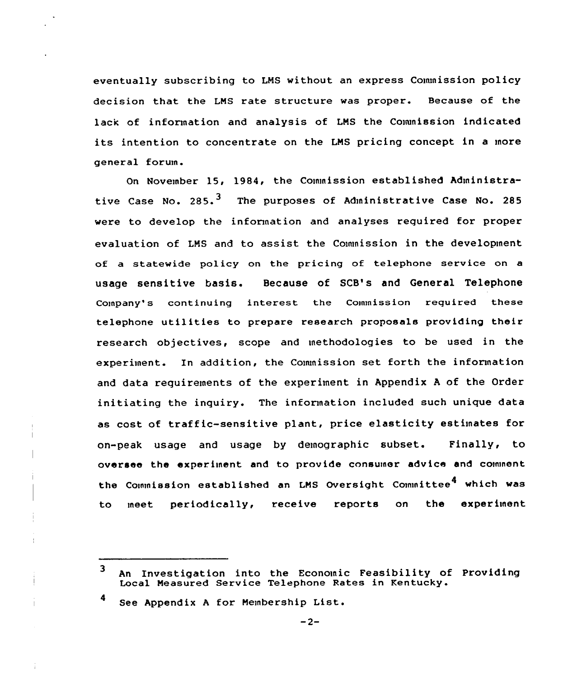eventually subscribing to LNS without an express Commission policy decision that the LNS rate structure was proper. Because of the lack of information and analysis of LNS the Commission indicated its intention to concentrate on the LNS pricing concept in <sup>a</sup> more general forum.

On November 15, 1984, the Commission established Administrative Case No.  $285.$ <sup>3</sup> The purposes of Administrative Case No. 285 were to develop the information and analyses required for proper evaluation of LNS and to assist the Commission in the development of a statewide policy on the pricing of telephone service on a usage sensitive basis. Because of SCB's and General Telephone Company's continuing interest the Commission required these telephone utilities to prepare research proposals providing their research objectives, scope and methodologies to be used in the experiment. In addition, the Commission set forth the information and data requirements of the experiment in Appendix <sup>A</sup> of the Order initiating the inquiry. The information included such unique data as cost of traffic-sensitive plant, price elasticity estimates for on-peak usage and usage by demographic subset. Finally, to oversee the experiment and to provide consumer advice and comment the Commission established an LMS Oversight Committee<sup>4</sup> which was to meet periodically, receive reports on the experiment

4 See Appendix <sup>A</sup> for Nembership List.

 $\overline{\mathbf{3}}$ An Investigation into the Economic Feasibility of Providing Local Measured Service Telephone Rates in Kentucky.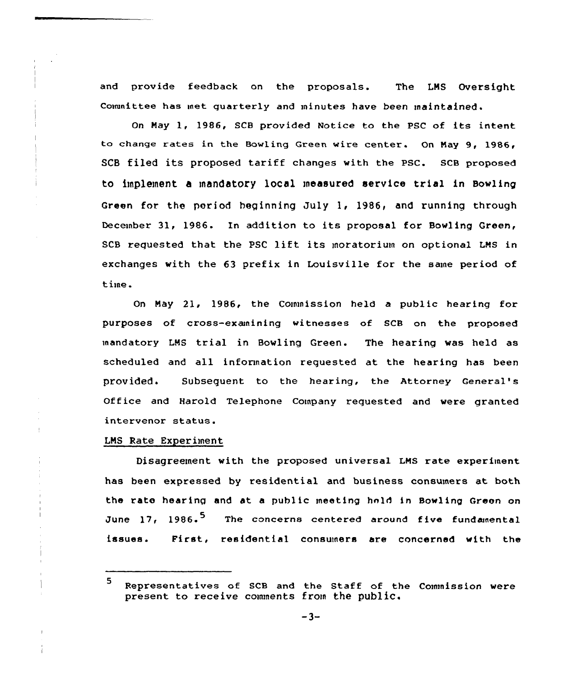and provide feedback on the proposals. The LMS Oversight Committee has met quarterly and minutes have been maintained.

On May 1, 1986, SCB provided Notice to the PSC of its intent to change rates in the Bowling Green wire center. On May 9, 1986, SCB filed its proposed tariff changes with the psc. scB proposed to implement a mandatory local measured service trial in Bowling Green for the period beginning July 1, 1986, and running through December 31, 1986. In addition to its proposal for Bowling Green, SCB requested that the PSC lift its moratorium on optional LMS in exchanges with the 63 prefix in Louisville for the same period of time.

On May 21, 1986, the Commission held a public hearing for purposes of cross-examining witnesses of SCB on the proposed mandatory LMS trial in Bowling Green. The hearing was held as scheduled and all information requested at the hearing has been provided. Subsequent to the hearing, the Attorney Genera1's Office and Harold Telephone Company requested and were granted intervenor status.

## LMS Rate Experiment

Disagreement with the proposed universal LMs rate experiment has been expressed by residential and business consumers at both the rate hearing and at a public meeting hold in Bowling Green on June 17, 1986.<sup>5</sup> issues <sup>~</sup> The concerns centered around five fundamental First, residential consumers are concerned with the

<sup>5</sup> Representatives of SCB and the Staff of the Commission were present to receive comments from the public.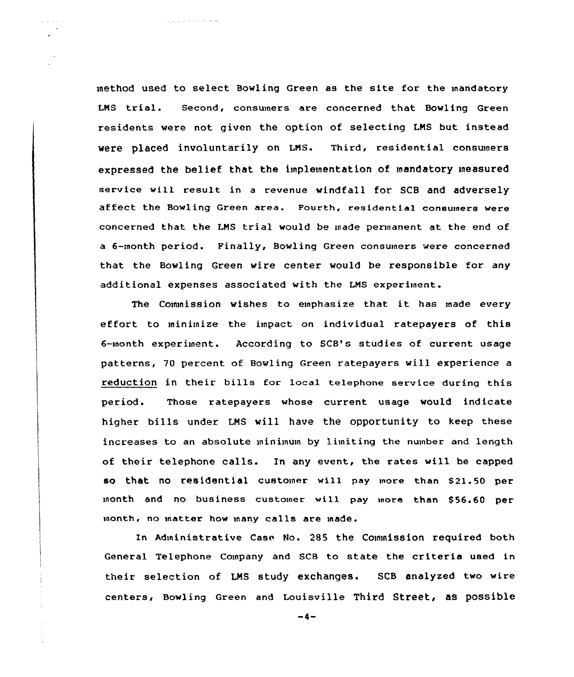method used to select Bowling Green as the site for the mandatory LNS trial. Second, consumers are concerned that Bowling Green residents were not given the option of selecting LNS but instead were placed involuntarily on LNS. Third, residential consumers expressed the belief that the implementation of mandatory measured service vill result in <sup>a</sup> revenue windfall for SCB and adversely affect the Bowling Green area. Fourth, residential consumers vere concerned that the LNS trial would be made permanent at the end of a 6-month period. Finally, Bowling Green consumers were concerned that the Bovling Green wire center would be responsible for any additional expenses associated with the LNS experiment.

The Commission wishes to emphasize that it has made every effort to minimize the impact on individual ratepayers of this 6-month experiment. According to SCB's studies of current usage patterns, 70 percent of Bowling Green ratepayers will experience a reduction in their bills for local telephone service during this period. Those ratepayers whose current usage would indicate higher bills under LNS will have the opportunity to keep these increases to an absolute minimum by limiting the number and length of their telephone calls. In any event, the rates will be capped so that no residential customer will pay more than \$21.50 per month and no business customer will pay more than \$56.60 per month, no rnatter how many calls are made.

In Administrative Case No. 285 the Commission required both General Telephone Company and SCB to state the criteria used in their selection of LNS study exchanges. SCB analyzed two wire centers, Bowling Green and Louisville Third Street, as possible

 $-4-$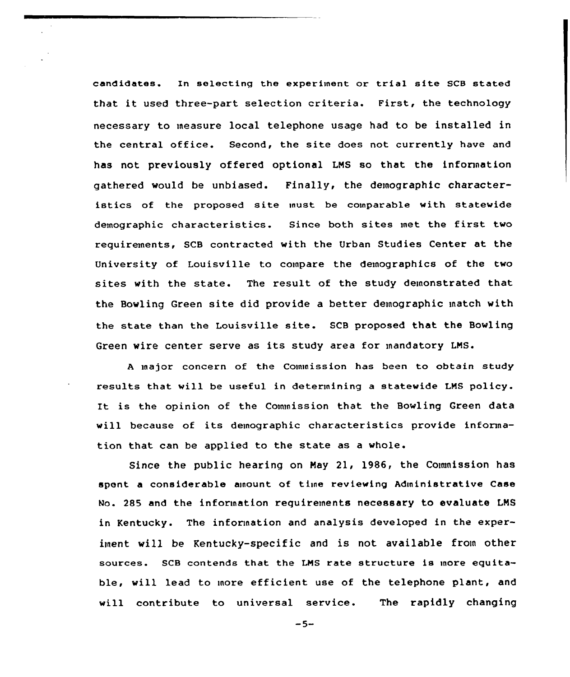candidates. In selecting the experiment or trial site SCB stated that it used three-part selection criteria. First, the technology necessary to measure local telephone usage had to be installed in the central office. Second, the site does not currently have and has not previously offered optional LNS so that the information gathered would be unbiased. Finally, the demographic characteristics of the proposed site must be comparable with statewide demographic characteristics. Since both sites met the first two requirements, SCB contracted with the Urban Studies Center at the University of Louisville to compare the demographics of the two sites with the state. The result of the study demonstrated that the Bowling Green site did provide a better demographic match with the state than the Louisville site. SCB proposed that the Bowling Green wire center serve as its study area for mandatory LNS.

<sup>A</sup> major concern of the Commission has been to obtain study results that will be useful in determining a statewide LNS policy. It is the opinion of the Commission that the Bowling Green data will because of its demographic characteristics provide information that can be applied to the state as a whole.

Since the public hearing on Nay 21, 1986, the Cownission has spent a considerable ainount of time reviewing Administrative Case Mo. 2S5 and the information requirements necessary to evaluate LNS in Kentucky. The information and analysis developed in the experiment will be Kentucky-specific and is not available from other sources. SCB contends that the LNS rate structure is more equitable, will lead to more efficient use of the telephone plant, and will contribute to universal service. The rapidly changing

 $-5-$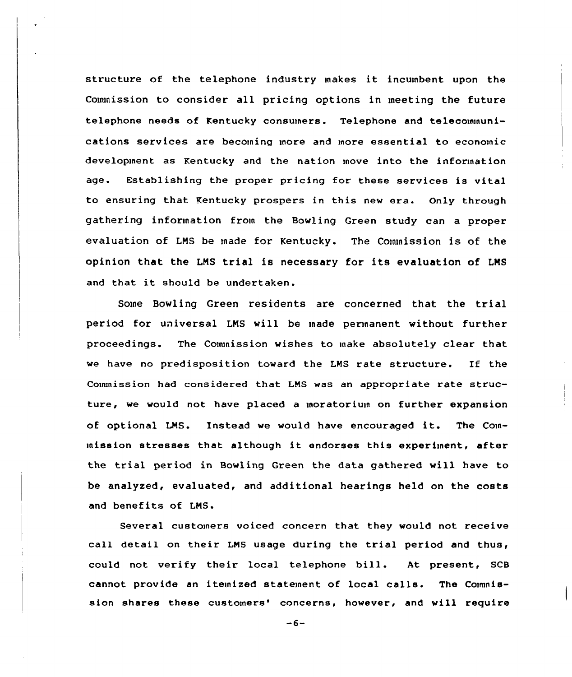structure of the telephone industry makes it incumbent upon the Commission to consider all pricing options in meeting the future telephone needs of Kentucky consumers. Telephone and telecommunications services are becoming more and more essential to economic development as Kentucky and the nation move into the information age. Establishing the proper pricing for these services is vital to ensuring that Kentucky prospers in this new era. Only through gathering information from the Bowling Green study can a proper evaluation of LNS be made for Kentucky. The Commission is of the opinion that the LNS trial is necessary for its evaluation of LNS and that it should be undertaken.

Some Bowling Green residents are concerned that the trial period for universal LNS will be made permanent without further proceedings. The Commission wishes to make absolutely clear that we have no predisposition toward the LNS rate structure. If the Commission had considered that LNS was an appropriate rate structure, we would not have placed a moratorium on further expansion of optional LMS. Instead we would have encouraged it. The Commission stresses that although it endorses this experiment, after the trial period in Bowling Green the data gathered will have to be analyzed, evaluated, and additional hearings held on the costs and benefits of LNS.

Several customers voiced concern that they would not receive call detail on their LNS usage during the trial period and thus, could not verify their local telephone bill. At present, SCB cannot provide an itemized statement of local calls. The Commission shares these customers' concerns, however, and will require

 $-6-$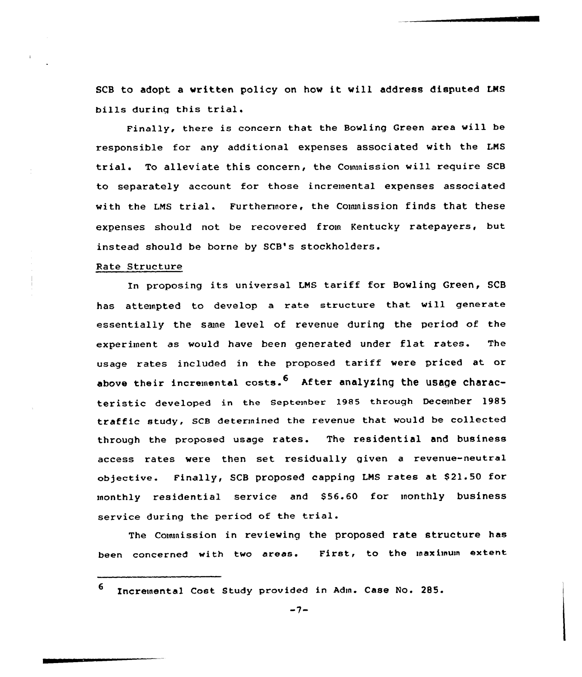SCB to adopt <sup>a</sup> vritten policy on hov it vill address disputed LMS bills during this trial.

Finally, there is concern that the Bowling Green area will be responsible for any additional expenses associated with the LNS trial. To alleviate this concern, the Commission will require SCB to separately account for those incremental expenses associated with the LMS trial. Furthermore, the Commission finds that these expenses should not be recovered from Kentucky ratepayers, but instead should be borne by SCB's stockholders.

## Rate Structure

In proposing its universal LNS tariff for Bowling Green, SCB has attempted to develop <sup>a</sup> rate structure that will generate essentially the same level of revenue during the period of the experiment as would have been generated under flat rates. The usage rates included in the proposed tariff were priced at or above their incremental costs.  $6$  After analyzing the usage characteristic developed in the September 1985 through December 1985 traffic study, SCB determined the revenue that would be collected through the proposed usage rates. The residential and business access rates were then set residually given <sup>a</sup> revenue-neutral objective. Finally, SCB proposed capping LMS rates at \$21.50 for monthly residential service and S56.60 for monthly business service during the period of the trial.

The Commission in reviewing the proposed rate structure has been concerned with two areas. First, to the inaximum extent

6 Incremental Cost Study provided in Adm. Case No. 285.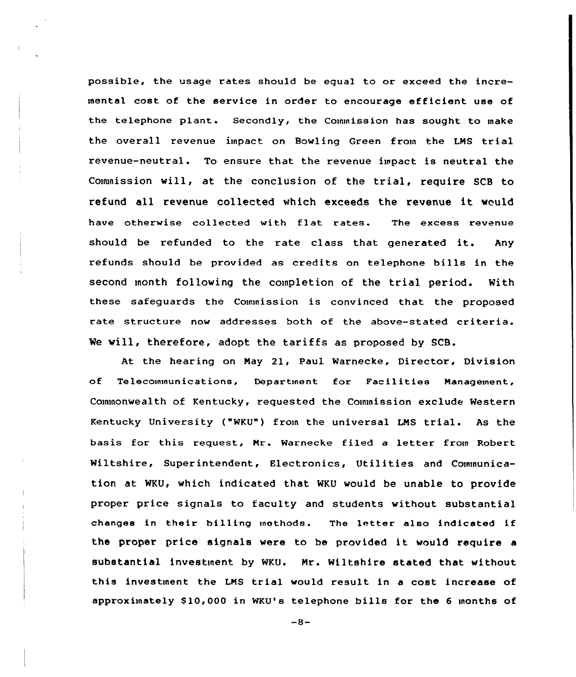possible, the usage rates should be equal to or exceed the incremental cost of the service in order to encourage efficient use of the telephone plant. Secondly, the Commission has sought to make the overall revenue impact on Bawling Green from the LNS trial revenue-neutrals To ensure that the revenue impact is neutral the Commission will, at the conclusion of the trial, require SCB to refund all revenue collected which exceeds the revenue it would have otherwise collected with flat rates. The excess revenue should be refunded to the rate class that generated it. Any refunds should be provided as credits on telephone bills in the second month following the completion of the trial period. With these safeguards the Commission is convinced that the proposed rate structure now addresses both of the above-stated criteria. We will, therefore, adopt the tariffs as proposed by SCB.

At the hearing on Nay 2l, Paul Warnecke, Director, Division of Telecommunications, Department for Facilities Management, Commonwealth of Kentucky, requested the Commission exclude Western Kentucky University ("WKU") from the universal LNS trial. As the basis for this request, Mr. Warnecke filed a letter from Robert Wiltshire, Superintendent, Electronics, Utilities and Communication at WKU, which indicated that WKU would be unable to provide proper price signals to faculty and students without substantial changes in their billing methods. The letter also indicated if the proper price signals were to be provided it would require <sup>a</sup> substantial investment by WKU. Nr. Wiltshire stated that without this investment the LMS trial would result in <sup>a</sup> cost increase of approximately \$10,000 in WKU's telephone bills for the 6 months of

 $-8-$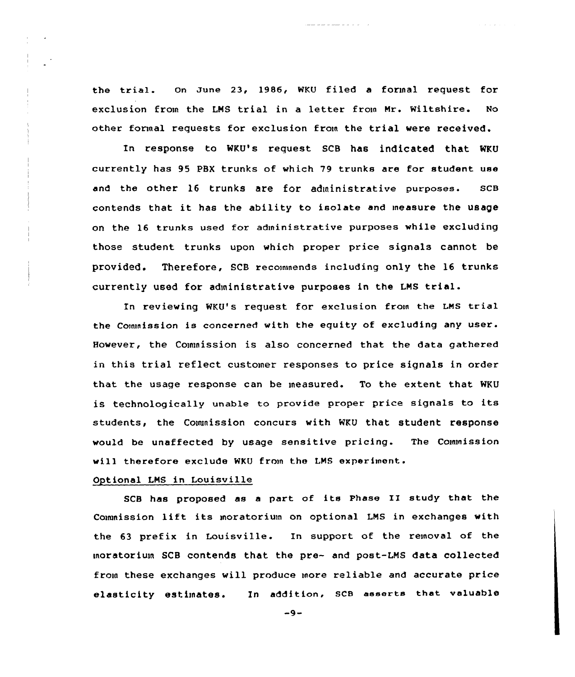the trial. on zune 23, 1986, WKU filed <sup>a</sup> formal request for exclusion from the LNS trial in <sup>a</sup> letter from Nr. Wiltshire. No other formal requests for exclusion from the trial were received.

In response to WKU's request SCB has indicated that WKU currently has 95 PBX trunks af which 79 trunks are for student use and the other 16 trunks are for administrative purposes. ScB contends that it has the ability to isolate and ineasure the usage on the 16 trunks used for administrative purposes while excluding those student trunks upon which proper price signals cannot be provided. Therefore, SCB recommends including only the 16 trunks currently used for administrative purposes in the LNS trial.

In reviewing wKU's request for exclusion from the LNs trial the Commission is concerned with the equity of excluding any user. However, the Commission is also concerned that the data gathered in this trial reflect customer responses to price signals in order that the usage response can be measured. To the extent that WKU is technologically unable to provide proper price signals to its students, the Couunission concurs with WKU that student response would be unaffected by usage sensitive pricing. The Commission will therefore exclude WKU from the LNS experiment.

# Optional LNS in Louisville

SCB has proposed as <sup>a</sup> part of its Phase II study that the Couunission lift its moratorium on optional LNS in exchanges with the 63 prefix in Louisville. In support of the removal of the moratorium SCB contends that the pre- and post-LNS data collected from these exchanges will produce more reliable and accurate price elasticity estimates. In addition. SCB asserts that valuable

 $-9-$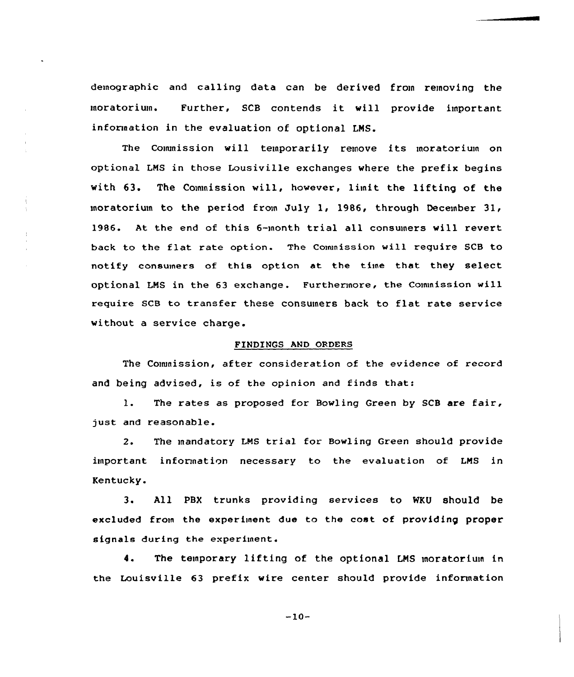demographic and calling data can be derived from removing the moratorium. Further, SCB contends it will provide important information in the evaluation of optional LMS.

The Commission will temporarily remove its moratorium on optional LMS in those Lousiville exchanges where the prefix begins with 63. The Commission will, however, limit the lifting of the moratorium to the period from July 1, 1986, through December 31, 1986. At the end of this 6-month trial all consumers will revert back to the flat rate opticn. The Commission will require SCB to notify consumers of this option at the time that they select optional LMS in the 63 exchange. Furthermore, the Commission will require SCB to transfer these consumers back to flat rate service without a service charge.

## FINDINGS AND ORDERS

The Commission, after consideration of the evidence of record and being advised, is of the opinion and finds that:

1. The rates as proposed for Bowling Green by SCB are fair, just and reascnable.

2. The mandatory LMS trial for Bowling Green should provide important information necessary to the evaluation of LMS in Kentucky.

3. All PBX trunks providing services to WKU should be excluded from the experiment due to the cost of providing proper signals during the experiment.

4. The temporary lifting of the optional LMS moratorium in the Louisville 63 prefix wire center should provide information

 $-10-$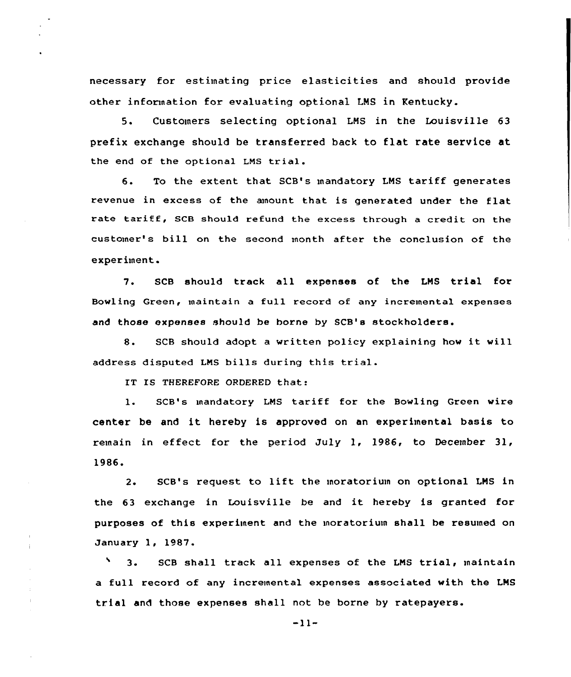necessary for estimating price elasticities and should provide other information for evaluating optional LMS in Kentucky.

5. Customers selecting optional LNS in the Louisville 63 prefix exchange should be transferred back to flat rate service at the end of the optional LMS trial.

6. To the extent that SCB's mandatory LMS tariff generates revenue in excess of the anount that is generated under the flat rate tariff, SCB should refund the excess through <sup>a</sup> credit on the customer's bill on the second month after the conclusion of the experiment.

7. SCB should track all expenses of the LMS trial for Bowling Green, maintain a full record of any incremental expenses and those expenses should be borne by SCB's stockholders.

8. SCB should adopt a written policy explaining how it will address disputed LNS bills during this trial.

IT IS THEREFORE ORDERED that:

 $\mathbf{1}$ . SCB"s mandatory LMS tariff for the Bowling Green wire center be and it hereby is approved on an experimental basis to remain in effect for the period July 1, 1986, to December 31, 1986.

2. SCB's request to lift the moratorium on optional LMS in the <sup>63</sup> exchange in Louisville be and it hereby is granted for purposes of this experiment and the moratorium shall be resumed on January 1, 1987.

N 3. SCB shall track all expenses of the LNS trial, maintain a full record of any incremental expenses associated with the LMS trial and those expenses shall not be borne by ratepayers.

 $-11-$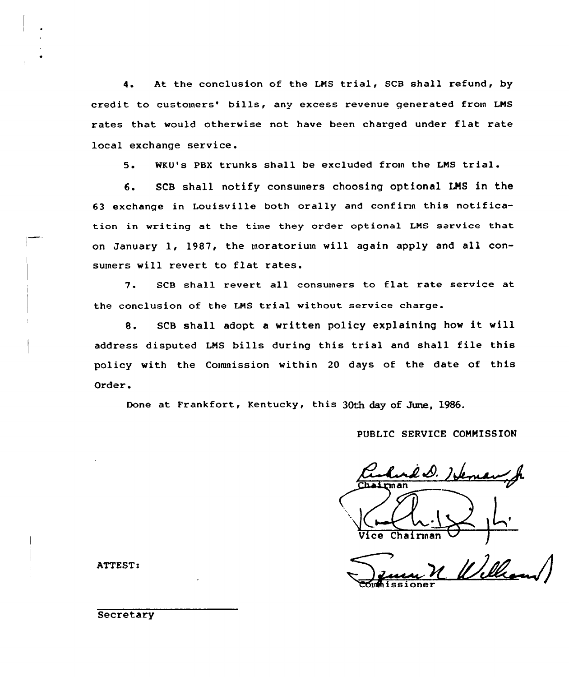4. At the conclusion of the LNS trial, SCB shall refund, by credit to customers' bills, any excess revenue generated from LMS rates that would otherwise not have been charged under flat rate local exchange service.

5. WKU's PBX trunks shall be excluded from the LNS trial.

6. SCB shall notify consuiners choosing optional LMS in the 63 exchange in Louisville both orally and confirm this notification in writing at the time they order optional LNS service that on January 1, 1987, the moratorium will again apply and all consumers will revert to flat rates.

7. SCB shall revert all consumers to flat rate service at the conclusion of the LNS trial without service charge.

8. SCB shall adopt <sup>a</sup> written policy explaining how it will address disputed LMS bills during this trial and shall file this policy with the Commission within <sup>20</sup> days of the date of this Order.

Done at Frankfort, Kentucky, this 30th day of June, 1986.

## PUBLIC SERVICE COMMISSION

<u>d D. Isle</u> t Chairman

Commissioner

ATTEST:

**Secretary**